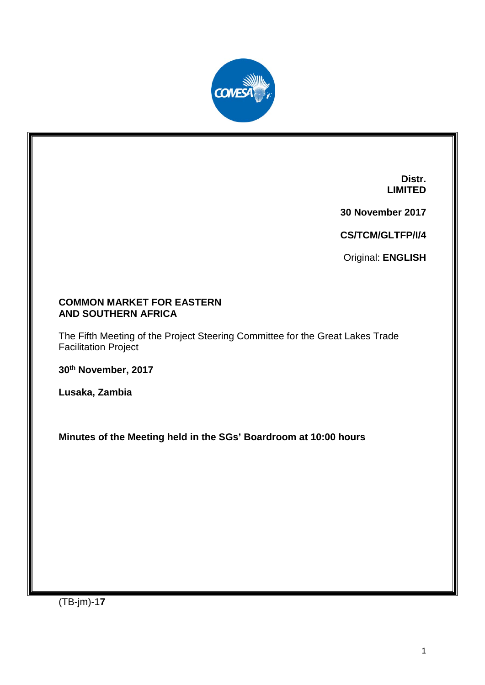

**Distr. LIMITED**

**30 November 2017**

**CS/TCM/GLTFP/I/4**

Original: **ENGLISH**

#### **COMMON MARKET FOR EASTERN AND SOUTHERN AFRICA**

The Fifth Meeting of the Project Steering Committee for the Great Lakes Trade Facilitation Project

**30th November, 2017**

**Lusaka, Zambia**

**Minutes of the Meeting held in the SGs' Boardroom at 10:00 hours**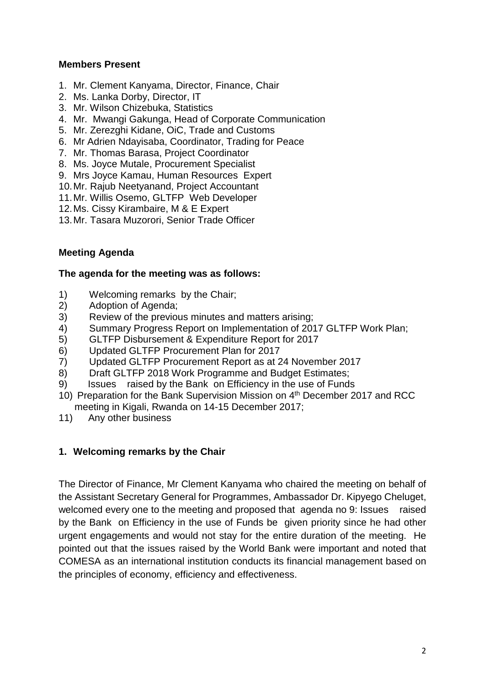### **Members Present**

- 1. Mr. Clement Kanyama, Director, Finance, Chair
- 2. Ms. Lanka Dorby, Director, IT
- 3. Mr. Wilson Chizebuka, Statistics
- 4. Mr. Mwangi Gakunga, Head of Corporate Communication
- 5. Mr. Zerezghi Kidane, OiC, Trade and Customs
- 6. Mr Adrien Ndayisaba, Coordinator, Trading for Peace
- 7. Mr. Thomas Barasa, Project Coordinator
- 8. Ms. Joyce Mutale, Procurement Specialist
- 9. Mrs Joyce Kamau, Human Resources Expert
- 10.Mr. Rajub Neetyanand, Project Accountant
- 11.Mr. Willis Osemo, GLTFP Web Developer
- 12.Ms. Cissy Kirambaire, M & E Expert
- 13.Mr. Tasara Muzorori, Senior Trade Officer

### **Meeting Agenda**

#### **The agenda for the meeting was as follows:**

- 1) Welcoming remarks by the Chair;
- 2) Adoption of Agenda;
- 3) Review of the previous minutes and matters arising;
- 4) Summary Progress Report on Implementation of 2017 GLTFP Work Plan;
- 5) GLTFP Disbursement & Expenditure Report for 2017
- 6) Updated GLTFP Procurement Plan for 2017
- 7) Updated GLTFP Procurement Report as at 24 November 2017
- 8) Draft GLTFP 2018 Work Programme and Budget Estimates;
- 9) Issues raised by the Bank on Efficiency in the use of Funds
- 10) Preparation for the Bank Supervision Mission on 4<sup>th</sup> December 2017 and RCC meeting in Kigali, Rwanda on 14-15 December 2017;
- 11) Any other business

#### **1. Welcoming remarks by the Chair**

The Director of Finance, Mr Clement Kanyama who chaired the meeting on behalf of the Assistant Secretary General for Programmes, Ambassador Dr. Kipyego Cheluget, welcomed every one to the meeting and proposed that agenda no 9: Issues raised by the Bank on Efficiency in the use of Funds be given priority since he had other urgent engagements and would not stay for the entire duration of the meeting. He pointed out that the issues raised by the World Bank were important and noted that COMESA as an international institution conducts its financial management based on the principles of economy, efficiency and effectiveness.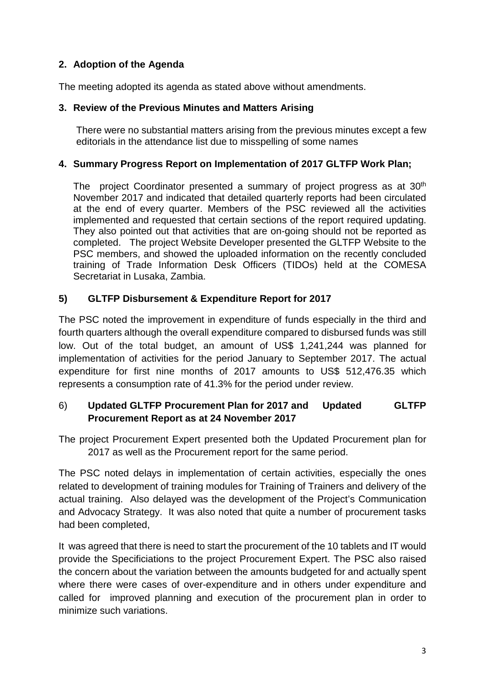# **2. Adoption of the Agenda**

The meeting adopted its agenda as stated above without amendments.

### **3. Review of the Previous Minutes and Matters Arising**

There were no substantial matters arising from the previous minutes except a few editorials in the attendance list due to misspelling of some names

### **4. Summary Progress Report on Implementation of 2017 GLTFP Work Plan;**

The project Coordinator presented a summary of project progress as at 30<sup>th</sup> November 2017 and indicated that detailed quarterly reports had been circulated at the end of every quarter. Members of the PSC reviewed all the activities implemented and requested that certain sections of the report required updating. They also pointed out that activities that are on-going should not be reported as completed. The project Website Developer presented the GLTFP Website to the PSC members, and showed the uploaded information on the recently concluded training of Trade Information Desk Officers (TIDOs) held at the COMESA Secretariat in Lusaka, Zambia.

## **5) GLTFP Disbursement & Expenditure Report for 2017**

The PSC noted the improvement in expenditure of funds especially in the third and fourth quarters although the overall expenditure compared to disbursed funds was still low. Out of the total budget, an amount of US\$ 1,241,244 was planned for implementation of activities for the period January to September 2017. The actual expenditure for first nine months of 2017 amounts to US\$ 512,476.35 which represents a consumption rate of 41.3% for the period under review.

## 6) **Updated GLTFP Procurement Plan for 2017 and Updated GLTFP Procurement Report as at 24 November 2017**

The project Procurement Expert presented both the Updated Procurement plan for 2017 as well as the Procurement report for the same period.

The PSC noted delays in implementation of certain activities, especially the ones related to development of training modules for Training of Trainers and delivery of the actual training. Also delayed was the development of the Project's Communication and Advocacy Strategy. It was also noted that quite a number of procurement tasks had been completed,

It was agreed that there is need to start the procurement of the 10 tablets and IT would provide the Specificiations to the project Procurement Expert. The PSC also raised the concern about the variation between the amounts budgeted for and actually spent where there were cases of over-expenditure and in others under expenditure and called for improved planning and execution of the procurement plan in order to minimize such variations.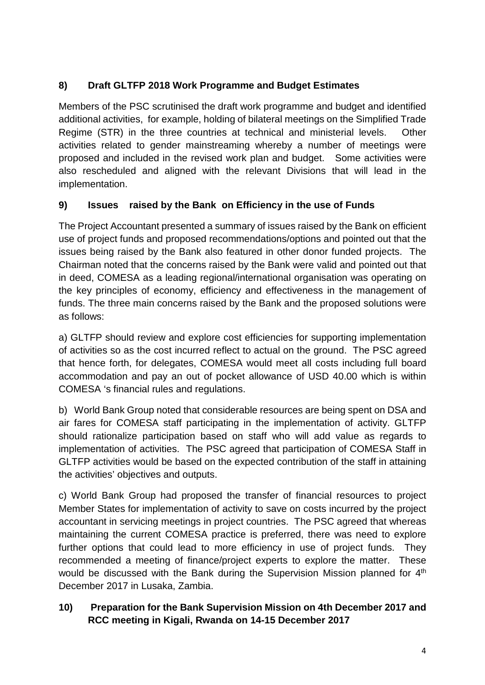# **8) Draft GLTFP 2018 Work Programme and Budget Estimates**

Members of the PSC scrutinised the draft work programme and budget and identified additional activities, for example, holding of bilateral meetings on the Simplified Trade Regime (STR) in the three countries at technical and ministerial levels. Other activities related to gender mainstreaming whereby a number of meetings were proposed and included in the revised work plan and budget. Some activities were also rescheduled and aligned with the relevant Divisions that will lead in the implementation.

# **9) Issues raised by the Bank on Efficiency in the use of Funds**

The Project Accountant presented a summary of issues raised by the Bank on efficient use of project funds and proposed recommendations/options and pointed out that the issues being raised by the Bank also featured in other donor funded projects. The Chairman noted that the concerns raised by the Bank were valid and pointed out that in deed, COMESA as a leading regional/international organisation was operating on the key principles of economy, efficiency and effectiveness in the management of funds. The three main concerns raised by the Bank and the proposed solutions were as follows:

a) GLTFP should review and explore cost efficiencies for supporting implementation of activities so as the cost incurred reflect to actual on the ground. The PSC agreed that hence forth, for delegates, COMESA would meet all costs including full board accommodation and pay an out of pocket allowance of USD 40.00 which is within COMESA 's financial rules and regulations.

b) World Bank Group noted that considerable resources are being spent on DSA and air fares for COMESA staff participating in the implementation of activity. GLTFP should rationalize participation based on staff who will add value as regards to implementation of activities. The PSC agreed that participation of COMESA Staff in GLTFP activities would be based on the expected contribution of the staff in attaining the activities' objectives and outputs.

c) World Bank Group had proposed the transfer of financial resources to project Member States for implementation of activity to save on costs incurred by the project accountant in servicing meetings in project countries. The PSC agreed that whereas maintaining the current COMESA practice is preferred, there was need to explore further options that could lead to more efficiency in use of project funds. They recommended a meeting of finance/project experts to explore the matter. These would be discussed with the Bank during the Supervision Mission planned for 4<sup>th</sup> December 2017 in Lusaka, Zambia.

# **10) Preparation for the Bank Supervision Mission on 4th December 2017 and RCC meeting in Kigali, Rwanda on 14-15 December 2017**